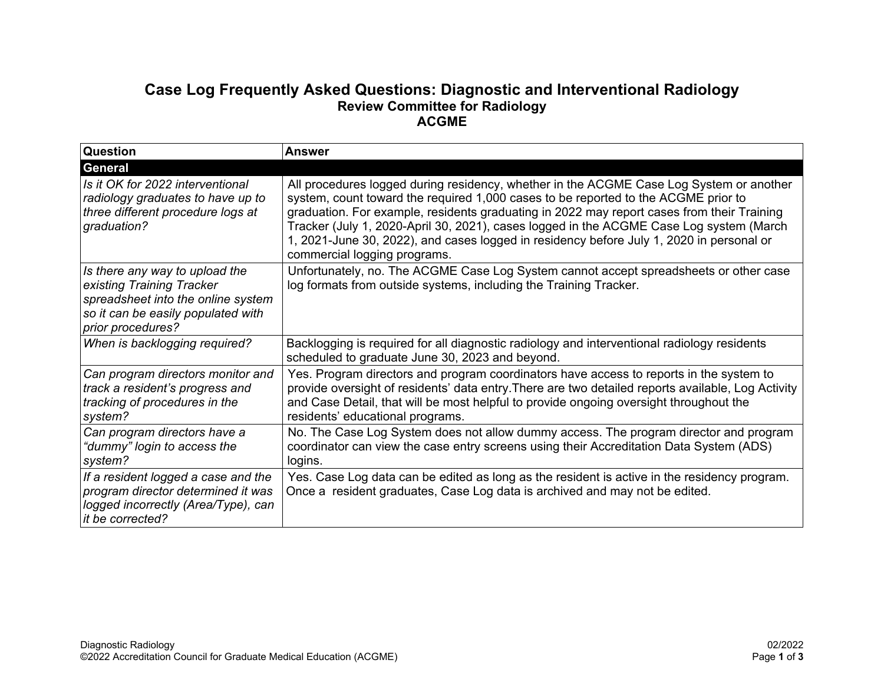## **Case Log Frequently Asked Questions: Diagnostic and Interventional Radiology Review Committee for Radiology ACGME**

| <b>Question</b>                                                                                                                                              | Answer                                                                                                                                                                                                                                                                                                                                                                                                                                                                                             |
|--------------------------------------------------------------------------------------------------------------------------------------------------------------|----------------------------------------------------------------------------------------------------------------------------------------------------------------------------------------------------------------------------------------------------------------------------------------------------------------------------------------------------------------------------------------------------------------------------------------------------------------------------------------------------|
| <b>General</b>                                                                                                                                               |                                                                                                                                                                                                                                                                                                                                                                                                                                                                                                    |
| Is it OK for 2022 interventional<br>radiology graduates to have up to<br>three different procedure logs at<br>graduation?                                    | All procedures logged during residency, whether in the ACGME Case Log System or another<br>system, count toward the required 1,000 cases to be reported to the ACGME prior to<br>graduation. For example, residents graduating in 2022 may report cases from their Training<br>Tracker (July 1, 2020-April 30, 2021), cases logged in the ACGME Case Log system (March<br>1, 2021-June 30, 2022), and cases logged in residency before July 1, 2020 in personal or<br>commercial logging programs. |
| Is there any way to upload the<br>existing Training Tracker<br>spreadsheet into the online system<br>so it can be easily populated with<br>prior procedures? | Unfortunately, no. The ACGME Case Log System cannot accept spreadsheets or other case<br>log formats from outside systems, including the Training Tracker.                                                                                                                                                                                                                                                                                                                                         |
| When is backlogging required?                                                                                                                                | Backlogging is required for all diagnostic radiology and interventional radiology residents<br>scheduled to graduate June 30, 2023 and beyond.                                                                                                                                                                                                                                                                                                                                                     |
| Can program directors monitor and<br>track a resident's progress and<br>tracking of procedures in the<br>system?                                             | Yes. Program directors and program coordinators have access to reports in the system to<br>provide oversight of residents' data entry. There are two detailed reports available, Log Activity<br>and Case Detail, that will be most helpful to provide ongoing oversight throughout the<br>residents' educational programs.                                                                                                                                                                        |
| Can program directors have a<br>"dummy" login to access the<br>system?                                                                                       | No. The Case Log System does not allow dummy access. The program director and program<br>coordinator can view the case entry screens using their Accreditation Data System (ADS)<br>logins.                                                                                                                                                                                                                                                                                                        |
| If a resident logged a case and the<br>program director determined it was<br>logged incorrectly (Area/Type), can<br>it be corrected?                         | Yes. Case Log data can be edited as long as the resident is active in the residency program.<br>Once a resident graduates, Case Log data is archived and may not be edited.                                                                                                                                                                                                                                                                                                                        |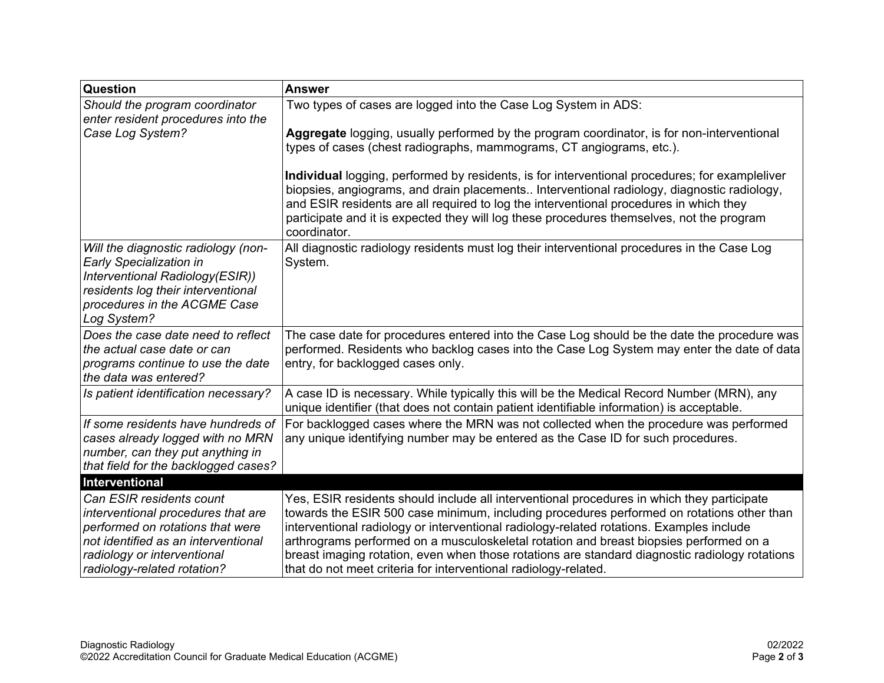| Question                                                                                                                                                                                                | <b>Answer</b>                                                                                                                                                                                                                                                                                                                                                                                                                                                                                                                                                                                                                               |
|---------------------------------------------------------------------------------------------------------------------------------------------------------------------------------------------------------|---------------------------------------------------------------------------------------------------------------------------------------------------------------------------------------------------------------------------------------------------------------------------------------------------------------------------------------------------------------------------------------------------------------------------------------------------------------------------------------------------------------------------------------------------------------------------------------------------------------------------------------------|
| Should the program coordinator<br>enter resident procedures into the<br>Case Log System?                                                                                                                | Two types of cases are logged into the Case Log System in ADS:<br>Aggregate logging, usually performed by the program coordinator, is for non-interventional<br>types of cases (chest radiographs, mammograms, CT angiograms, etc.).<br>Individual logging, performed by residents, is for interventional procedures; for exampleliver<br>biopsies, angiograms, and drain placements Interventional radiology, diagnostic radiology,<br>and ESIR residents are all required to log the interventional procedures in which they<br>participate and it is expected they will log these procedures themselves, not the program<br>coordinator. |
| Will the diagnostic radiology (non-<br>Early Specialization in<br>Interventional Radiology(ESIR))<br>residents log their interventional<br>procedures in the ACGME Case<br>Log System?                  | All diagnostic radiology residents must log their interventional procedures in the Case Log<br>System.                                                                                                                                                                                                                                                                                                                                                                                                                                                                                                                                      |
| Does the case date need to reflect<br>the actual case date or can<br>programs continue to use the date<br>the data was entered?                                                                         | The case date for procedures entered into the Case Log should be the date the procedure was<br>performed. Residents who backlog cases into the Case Log System may enter the date of data<br>entry, for backlogged cases only.                                                                                                                                                                                                                                                                                                                                                                                                              |
| Is patient identification necessary?                                                                                                                                                                    | A case ID is necessary. While typically this will be the Medical Record Number (MRN), any<br>unique identifier (that does not contain patient identifiable information) is acceptable.                                                                                                                                                                                                                                                                                                                                                                                                                                                      |
| If some residents have hundreds of<br>cases already logged with no MRN<br>number, can they put anything in<br>that field for the backlogged cases?                                                      | For backlogged cases where the MRN was not collected when the procedure was performed<br>any unique identifying number may be entered as the Case ID for such procedures.                                                                                                                                                                                                                                                                                                                                                                                                                                                                   |
| Interventional                                                                                                                                                                                          |                                                                                                                                                                                                                                                                                                                                                                                                                                                                                                                                                                                                                                             |
| Can ESIR residents count<br>interventional procedures that are<br>performed on rotations that were<br>not identified as an interventional<br>radiology or interventional<br>radiology-related rotation? | Yes, ESIR residents should include all interventional procedures in which they participate<br>towards the ESIR 500 case minimum, including procedures performed on rotations other than<br>interventional radiology or interventional radiology-related rotations. Examples include<br>arthrograms performed on a musculoskeletal rotation and breast biopsies performed on a<br>breast imaging rotation, even when those rotations are standard diagnostic radiology rotations<br>that do not meet criteria for interventional radiology-related.                                                                                          |